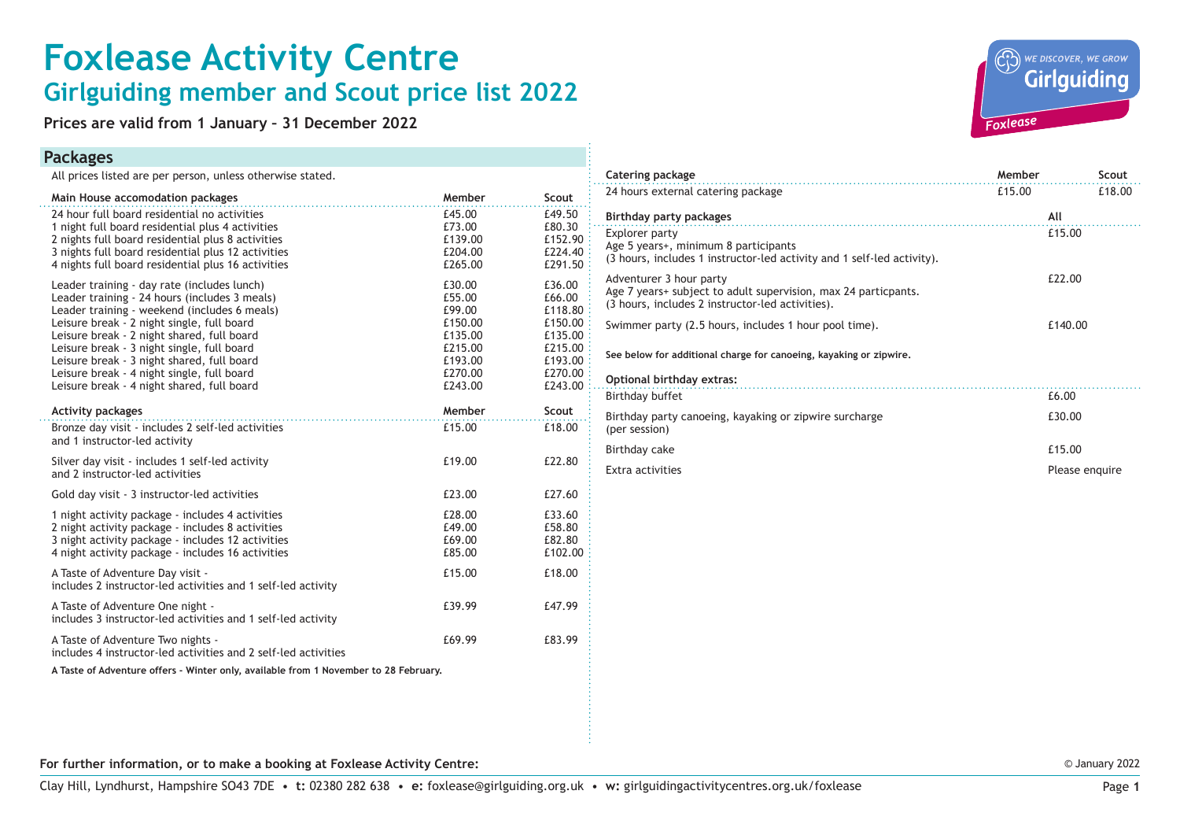## **Foxlease Activity Centre Girlguiding member and Scout price list 2022**

**Prices are valid from 1 January – 31 December 2022**

## **Packages**

All prices listed are per person, unless otherwise stated.

| Main House accomodation packages                                                   | Member  | Scout   | 24 hours external catering package                                                                             | £15.00  | £18.00         |
|------------------------------------------------------------------------------------|---------|---------|----------------------------------------------------------------------------------------------------------------|---------|----------------|
| 24 hour full board residential no activities                                       | £45.00  | £49.50  | Birthday party packages                                                                                        | All     |                |
| 1 night full board residential plus 4 activities                                   | £73.00  | £80.30  | Explorer party                                                                                                 | £15.00  |                |
| 2 nights full board residential plus 8 activities                                  | £139.00 | £152.90 |                                                                                                                |         |                |
| 3 nights full board residential plus 12 activities                                 | £204.00 | £224.40 | Age 5 years+, minimum 8 participants<br>(3 hours, includes 1 instructor-led activity and 1 self-led activity). |         |                |
| 4 nights full board residential plus 16 activities                                 | £265.00 | £291.50 |                                                                                                                |         |                |
| Leader training - day rate (includes lunch)                                        | £30.00  | £36.00  | Adventurer 3 hour party                                                                                        | £22.00  |                |
| Leader training - 24 hours (includes 3 meals)                                      | £55.00  | £66.00  | Age 7 years+ subject to adult supervision, max 24 particpants.                                                 |         |                |
| Leader training - weekend (includes 6 meals)                                       | £99.00  | £118.80 | (3 hours, includes 2 instructor-led activities).                                                               |         |                |
| Leisure break - 2 night single, full board                                         | £150.00 | £150.00 | Swimmer party (2.5 hours, includes 1 hour pool time).                                                          | £140.00 |                |
| Leisure break - 2 night shared, full board                                         | £135.00 | £135.00 |                                                                                                                |         |                |
| Leisure break - 3 night single, full board                                         | £215.00 | £215.00 |                                                                                                                |         |                |
| Leisure break - 3 night shared, full board                                         | £193.00 | £193.00 | See below for additional charge for canoeing, kayaking or zipwire,                                             |         |                |
| Leisure break - 4 night single, full board                                         | £270.00 | £270.00 |                                                                                                                |         |                |
| Leisure break - 4 night shared, full board                                         | £243.00 | £243.00 | Optional birthday extras:                                                                                      |         |                |
|                                                                                    |         |         | Birthday buffet                                                                                                | £6.00   |                |
| <b>Activity packages</b>                                                           | Member  | Scout   | Birthday party canoeing, kayaking or zipwire surcharge                                                         | £30.00  |                |
| Bronze day visit - includes 2 self-led activities<br>and 1 instructor-led activity | £15.00  | £18.00  | (per session)                                                                                                  |         |                |
| Silver day visit - includes 1 self-led activity                                    | £19.00  | £22.80  | Birthday cake                                                                                                  | £15.00  |                |
| and 2 instructor-led activities                                                    |         |         | Extra activities                                                                                               |         | Please enquire |
| Gold day visit - 3 instructor-led activities                                       | £23.00  | £27.60  |                                                                                                                |         |                |
| 1 night activity package - includes 4 activities                                   | £28.00  | £33.60  |                                                                                                                |         |                |
| 2 night activity package - includes 8 activities                                   | £49.00  | £58.80  |                                                                                                                |         |                |
| 3 night activity package - includes 12 activities                                  | £69.00  | £82.80  |                                                                                                                |         |                |
| 4 night activity package - includes 16 activities                                  | £85.00  | £102.00 |                                                                                                                |         |                |
| A Taste of Adventure Day visit -                                                   | £15.00  | £18.00  |                                                                                                                |         |                |
| includes 2 instructor-led activities and 1 self-led activity                       |         |         |                                                                                                                |         |                |
| A Taste of Adventure One night -                                                   | £39.99  | £47.99  |                                                                                                                |         |                |
| includes 3 instructor-led activities and 1 self-led activity                       |         |         |                                                                                                                |         |                |
| A Taste of Adventure Two nights -                                                  | £69.99  | £83.99  |                                                                                                                |         |                |
| includes 4 instructor-led activities and 2 self-led activities                     |         |         |                                                                                                                |         |                |
|                                                                                    |         |         |                                                                                                                |         |                |

**A Taste of Adventure offers - Winter only, available from 1 November to 28 February.**

| WE DISCOVER, WE GROW |  |
|----------------------|--|
| Foxlease             |  |

**Catering package Catering package Catering package Catering package Catering package Catering package Catering Scout** 

| For further information, or to make a booking at Foxlease Activity Centre: |  |
|----------------------------------------------------------------------------|--|
|----------------------------------------------------------------------------|--|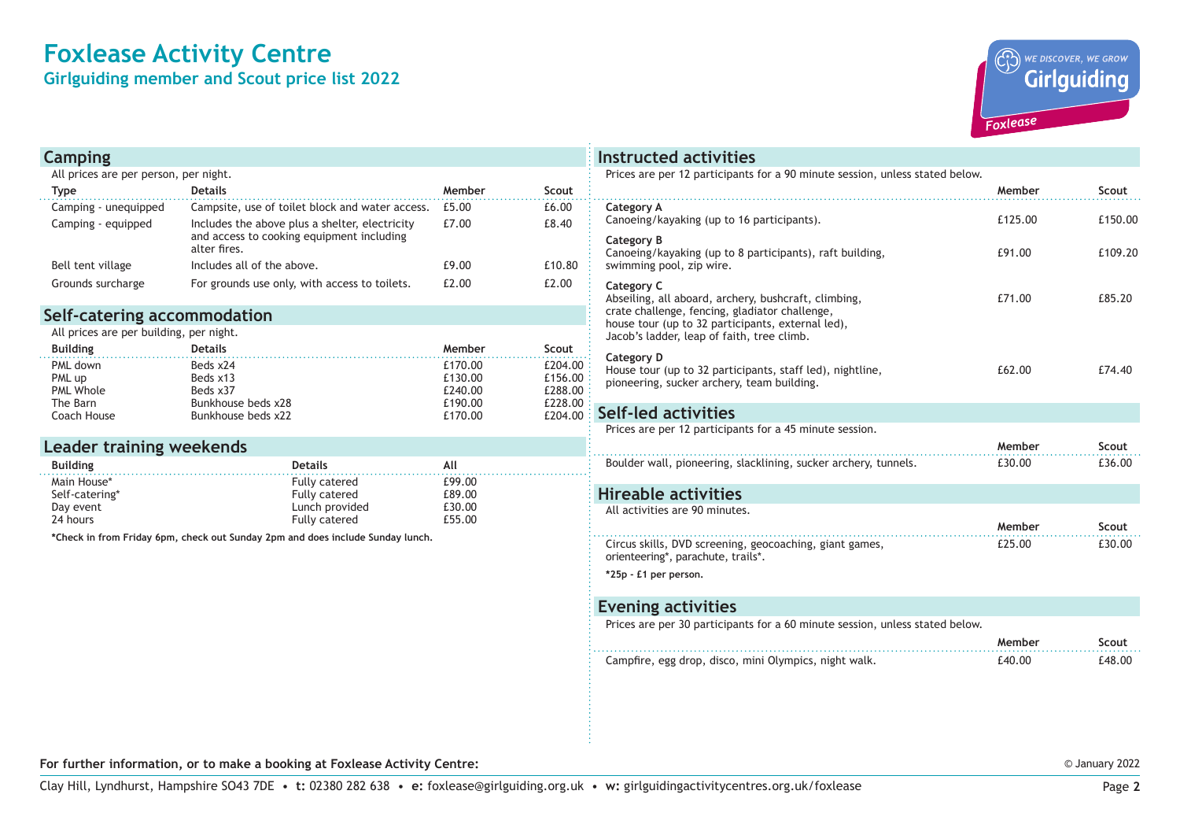## **Foxlease Activity Centre**

**Girlguiding member and Scout price list 2022**



| Camping                                    |                                                                                                   |                  |                | <b>Instructed activities</b>                                                                    |         |         |
|--------------------------------------------|---------------------------------------------------------------------------------------------------|------------------|----------------|-------------------------------------------------------------------------------------------------|---------|---------|
| All prices are per person, per night.      |                                                                                                   |                  |                | Prices are per 12 participants for a 90 minute session, unless stated below.                    |         |         |
| <b>Type</b>                                | <b>Details</b>                                                                                    | Member           | Scout          |                                                                                                 | Member  | Scout   |
| Camping - unequipped<br>Camping - equipped | Campsite, use of toilet block and water access.<br>Includes the above plus a shelter, electricity | £5.00<br>£7.00   | £6.00<br>£8.40 | Category A<br>Canoeing/kayaking (up to 16 participants).                                        | £125.00 | £150.00 |
|                                            | and access to cooking equipment including<br>alter fires.                                         |                  |                | Category B<br>Canoeing/kayaking (up to 8 participants), raft building,                          | £91.00  | £109.20 |
| Bell tent village                          | Includes all of the above.                                                                        | £9.00            | £10.80         | swimming pool, zip wire.                                                                        |         |         |
| Grounds surcharge                          | For grounds use only, with access to toilets.                                                     | £2.00            | £2.00          | Category C<br>Abseiling, all aboard, archery, bushcraft, climbing,                              | £71.00  | £85.20  |
| Self-catering accommodation                |                                                                                                   |                  |                | crate challenge, fencing, gladiator challenge,                                                  |         |         |
| All prices are per building, per night.    |                                                                                                   |                  |                | house tour (up to 32 participants, external led),<br>Jacob's ladder, leap of faith, tree climb. |         |         |
| <b>Building</b>                            | <b>Details</b>                                                                                    | Member           | Scout          |                                                                                                 |         |         |
| PML down                                   | Beds x24                                                                                          | £170.00          | £204.00        | Category D<br>House tour (up to 32 participants, staff led), nightline,                         | £62.00  | £74.40  |
| PML up                                     | Beds x13                                                                                          | £130.00          | £156.00        | pioneering, sucker archery, team building.                                                      |         |         |
| <b>PML Whole</b>                           | Beds x37                                                                                          | £240.00          | £288.00        |                                                                                                 |         |         |
| The Barn                                   | Bunkhouse beds x28                                                                                | £190.00          | £228.00        | Self-led activities                                                                             |         |         |
| Coach House                                | Bunkhouse beds x22                                                                                | £170.00          | £204.00        | Prices are per 12 participants for a 45 minute session.                                         |         |         |
|                                            |                                                                                                   |                  |                |                                                                                                 |         |         |
| Leader training weekends                   |                                                                                                   |                  |                |                                                                                                 | Member  | Scout   |
| <b>Building</b>                            | <b>Details</b>                                                                                    | All              |                | Boulder wall, pioneering, slacklining, sucker archery, tunnels.                                 | £30.00  | £36.00  |
| Main House*                                | <b>Fully catered</b>                                                                              | £99.00           |                |                                                                                                 |         |         |
| Self-catering*                             | <b>Fully catered</b><br>Lunch provided                                                            | £89.00<br>£30.00 |                | <b>Hireable activities</b>                                                                      |         |         |
| Day event<br>24 hours                      | Fully catered                                                                                     | £55.00           |                | All activities are 90 minutes.                                                                  |         |         |
|                                            |                                                                                                   |                  |                |                                                                                                 | Member  | Scout   |
|                                            | *Check in from Friday 6pm, check out Sunday 2pm and does include Sunday lunch.                    |                  |                | Circus skills, DVD screening, geocoaching, giant games,<br>orienteering*, parachute, trails*.   | £25.00  | £30.00  |
|                                            |                                                                                                   |                  |                | *25p - £1 per person.                                                                           |         |         |
|                                            |                                                                                                   |                  |                | <b>Evening activities</b>                                                                       |         |         |
|                                            |                                                                                                   |                  |                | Prices are per 30 participants for a 60 minute session, unless stated below.                    |         |         |
|                                            |                                                                                                   |                  |                |                                                                                                 | Member  | Scout   |
|                                            |                                                                                                   |                  |                | Campfire, egg drop, disco, mini Olympics, night walk.                                           | £40.00  | £48.00  |
|                                            |                                                                                                   |                  |                |                                                                                                 |         |         |
|                                            |                                                                                                   |                  |                |                                                                                                 |         |         |
|                                            |                                                                                                   |                  |                |                                                                                                 |         |         |

**For further information, or to make a booking at Foxlease Activity Centre:**